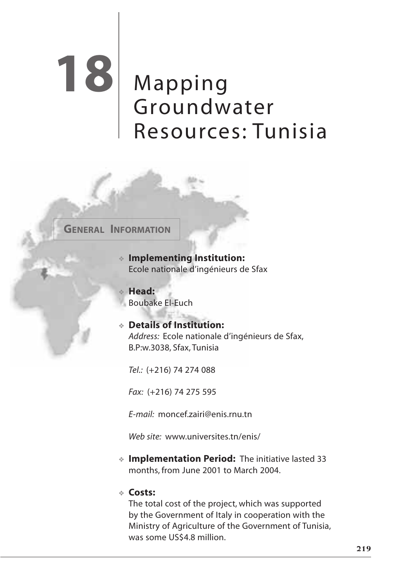# Mapping Groundwater Resources: Tunisia **18**

**GENERAL INFORMATION**

❖ **Implementing Institution:** Ecole nationale d'ingénieurs de Sfax

❖ **Head:** Boubake El-Euch

## ❖ **Details of Institution:** *Address:* Ecole nationale d'ingénieurs de Sfax, B.P:w.3038, Sfax, Tunisia

*Tel.:* (+216) 74 274 088

*Fax:* (+216) 74 275 595

*E-mail:* moncef.zairi@enis.rnu.tn

*Web site:* www.universites.tn/enis/

❖ **Implementation Period:** The initiative lasted 33 months, from June 2001 to March 2004.

## ❖ **Costs:**

The total cost of the project, which was supported by the Government of Italy in cooperation with the Ministry of Agriculture of the Government of Tunisia, was some US\$4.8 million.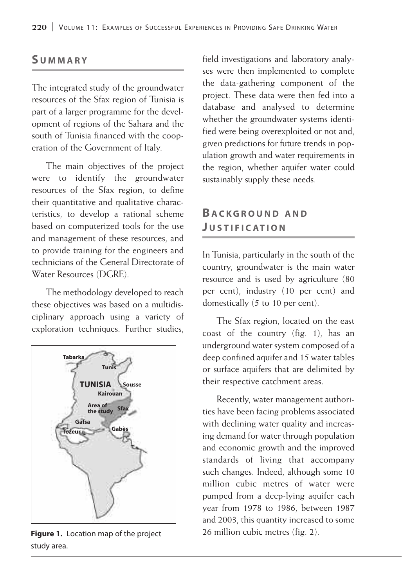## **S UMMARY**

The integrated study of the groundwater resources of the Sfax region of Tunisia is part of a larger programme for the development of regions of the Sahara and the south of Tunisia financed with the cooperation of the Government of Italy.

The main objectives of the project were to identify the groundwater resources of the Sfax region, to define their quantitative and qualitative characteristics, to develop a rational scheme based on computerized tools for the use and management of these resources, and to provide training for the engineers and technicians of the General Directorate of Water Resources (DGRE).

The methodology developed to reach these objectives was based on a multidisciplinary approach using a variety of exploration techniques. Further studies,



study area.

field investigations and laboratory analyses were then implemented to complete the data-gathering component of the project. These data were then fed into a database and analysed to determine whether the groundwater systems identified were being overexploited or not and, given predictions for future trends in population growth and water requirements in the region, whether aquifer water could sustainably supply these needs.

# **B ACKGROUND AND J USTIFICATION**

In Tunisia, particularly in the south of the country, groundwater is the main water resource and is used by agriculture (80 per cent), industry (10 per cent) and domestically (5 to 10 per cent).

The Sfax region, located on the east coast of the country (fig. 1), has an underground water system composed of a deep confined aquifer and 15 water tables or surface aquifers that are delimited by their respective catchment areas.

Recently, water management authorities have been facing problems associated with declining water quality and increasing demand for water through population and economic growth and the improved standards of living that accompany such changes. Indeed, although some 10 million cubic metres of water were pumped from a deep-lying aquifer each year from 1978 to 1986, between 1987 and 2003, this quantity increased to some **Figure 1.** Location map of the project 26 million cubic metres (fig. 2).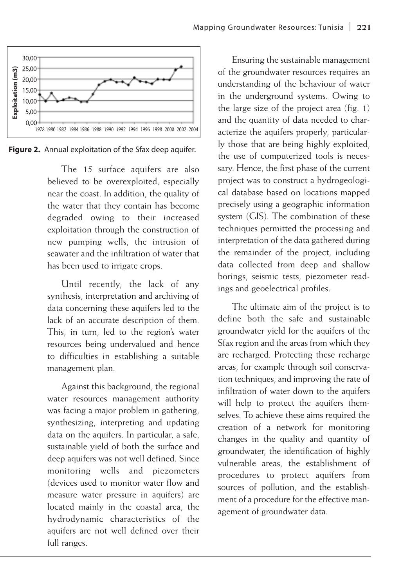

**Figure 2.** Annual exploitation of the Sfax deep aquifer.

The 15 surface aquifers are also believed to be overexploited, especially near the coast. In addition, the quality of the water that they contain has become degraded owing to their increased exploitation through the construction of new pumping wells, the intrusion of seawater and the infiltration of water that has been used to irrigate crops.

Until recently, the lack of any synthesis, interpretation and archiving of data concerning these aquifers led to the lack of an accurate description of them. This, in turn, led to the region's water resources being undervalued and hence to difficulties in establishing a suitable management plan.

Against this background, the regional water resources management authority was facing a major problem in gathering, synthesizing, interpreting and updating data on the aquifers. In particular, a safe, sustainable yield of both the surface and deep aquifers was not well defined. Since monitoring wells and piezometers (devices used to monitor water flow and measure water pressure in aquifers) are located mainly in the coastal area, the hydrodynamic characteristics of the aquifers are not well defined over their full ranges.

Ensuring the sustainable management of the groundwater resources requires an understanding of the behaviour of water in the underground systems. Owing to the large size of the project area (fig. 1) and the quantity of data needed to characterize the aquifers properly, particularly those that are being highly exploited, the use of computerized tools is necessary. Hence, the first phase of the current project was to construct a hydrogeological database based on locations mapped precisely using a geographic information system (GIS). The combination of these techniques permitted the processing and interpretation of the data gathered during the remainder of the project, including data collected from deep and shallow borings, seismic tests, piezometer readings and geoelectrical profiles.

The ultimate aim of the project is to define both the safe and sustainable groundwater yield for the aquifers of the Sfax region and the areas from which they are recharged. Protecting these recharge areas, for example through soil conservation techniques, and improving the rate of infiltration of water down to the aquifers will help to protect the aquifers themselves. To achieve these aims required the creation of a network for monitoring changes in the quality and quantity of groundwater, the identification of highly vulnerable areas, the establishment of procedures to protect aquifers from sources of pollution, and the establishment of a procedure for the effective management of groundwater data.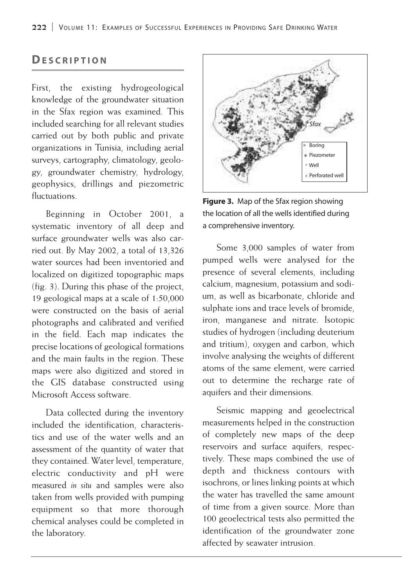# **DESCRIPTION**

First, the existing hydrogeological knowledge of the groundwater situation in the Sfax region was examined. This included searching for all relevant studies carried out by both public and private organizations in Tunisia, including aerial surveys, cartography, climatology, geology, groundwater chemistry, hydrology, geophysics, drillings and piezometric fluctuations.

Beginning in October 2001, a systematic inventory of all deep and surface groundwater wells was also carried out. By May 2002, a total of 13,326 water sources had been inventoried and localized on digitized topographic maps (fig. 3). During this phase of the project, 19 geological maps at a scale of 1:50,000 were constructed on the basis of aerial photographs and calibrated and verified in the field. Each map indicates the precise locations of geological formations and the main faults in the region. These maps were also digitized and stored in the GIS database constructed using Microsoft Access software.

Data collected during the inventory included the identification, characteristics and use of the water wells and an assessment of the quantity of water that they contained. Water level, temperature, electric conductivity and pH were measured *in situ* and samples were also taken from wells provided with pumping equipment so that more thorough chemical analyses could be completed in the laboratory.



**Figure 3.** Map of the Sfax region showing the location of all the wells identified during a comprehensive inventory.

Some 3,000 samples of water from pumped wells were analysed for the presence of several elements, including calcium, magnesium, potassium and sodium, as well as bicarbonate, chloride and sulphate ions and trace levels of bromide, iron, manganese and nitrate. Isotopic studies of hydrogen (including deuterium and tritium), oxygen and carbon, which involve analysing the weights of different atoms of the same element, were carried out to determine the recharge rate of aquifers and their dimensions.

Seismic mapping and geoelectrical measurements helped in the construction of completely new maps of the deep reservoirs and surface aquifers, respectively. These maps combined the use of depth and thickness contours with isochrons, or lines linking points at which the water has travelled the same amount of time from a given source. More than 100 geoelectrical tests also permitted the identification of the groundwater zone affected by seawater intrusion.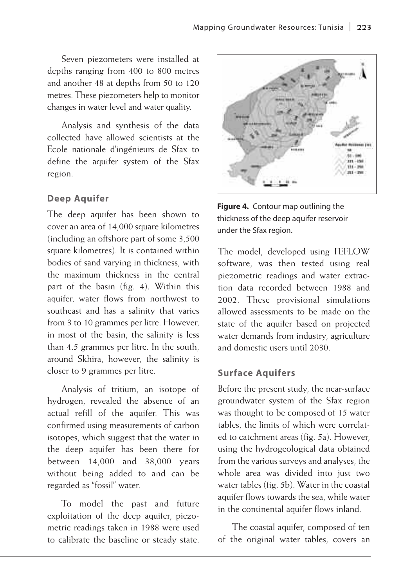Seven piezometers were installed at depths ranging from 400 to 800 metres and another 48 at depths from 50 to 120 metres. These piezometers help to monitor changes in water level and water quality.

Analysis and synthesis of the data collected have allowed scientists at the Ecole nationale d'ingénieurs de Sfax to define the aquifer system of the Sfax region.

#### **Deep Aquifer**

The deep aquifer has been shown to cover an area of 14,000 square kilometres (including an offshore part of some 3,500 square kilometres). It is contained within bodies of sand varying in thickness, with the maximum thickness in the central part of the basin (fig. 4). Within this aquifer, water flows from northwest to southeast and has a salinity that varies from 3 to 10 grammes per litre. However, in most of the basin, the salinity is less than 4.5 grammes per litre. In the south, around Skhira, however, the salinity is closer to 9 grammes per litre.

Analysis of tritium, an isotope of hydrogen, revealed the absence of an actual refill of the aquifer. This was confirmed using measurements of carbon isotopes, which suggest that the water in the deep aquifer has been there for between 14,000 and 38,000 years without being added to and can be regarded as "fossil" water.

To model the past and future exploitation of the deep aquifer, piezometric readings taken in 1988 were used to calibrate the baseline or steady state.





The model, developed using FEFLOW software, was then tested using real piezometric readings and water extraction data recorded between 1988 and 2002. These provisional simulations allowed assessments to be made on the state of the aquifer based on projected water demands from industry, agriculture and domestic users until 2030.

#### **Surface Aquifers**

Before the present study, the near-surface groundwater system of the Sfax region was thought to be composed of 15 water tables, the limits of which were correlated to catchment areas (fig. 5a). However, using the hydrogeological data obtained from the various surveys and analyses, the whole area was divided into just two water tables (fig. 5b). Water in the coastal aquifer flows towards the sea, while water in the continental aquifer flows inland.

The coastal aquifer, composed of ten of the original water tables, covers an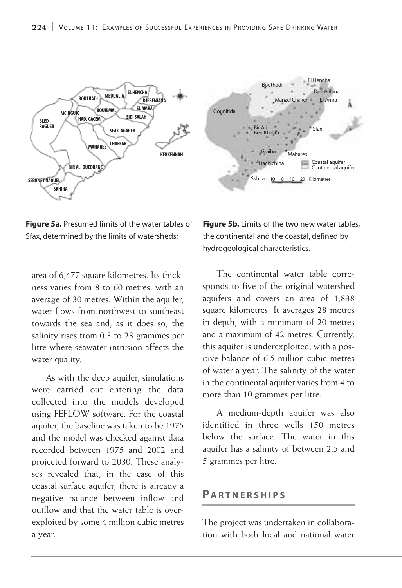

**Figure 5a.** Presumed limits of the water tables of Sfax, determined by the limits of watersheds;

area of 6,477 square kilometres. Its thickness varies from 8 to 60 metres, with an average of 30 metres. Within the aquifer, water flows from northwest to southeast towards the sea and, as it does so, the salinity rises from 0.3 to 23 grammes per litre where seawater intrusion affects the water quality.

As with the deep aquifer, simulations were carried out entering the data collected into the models developed using FEFLOW software. For the coastal aquifer, the baseline was taken to be 1975 and the model was checked against data recorded between 1975 and 2002 and projected forward to 2030. These analyses revealed that, in the case of this coastal surface aquifer, there is already a negative balance between inflow and outflow and that the water table is overexploited by some 4 million cubic metres a year.



**Figure 5b.** Limits of the two new water tables, the continental and the coastal, defined by hydrogeological characteristics.

The continental water table corresponds to five of the original watershed aquifers and covers an area of 1,838 square kilometres. It averages 28 metres in depth, with a minimum of 20 metres and a maximum of 42 metres. Currently, this aquifer is underexploited, with a positive balance of 6.5 million cubic metres of water a year. The salinity of the water in the continental aquifer varies from 4 to more than 10 grammes per litre.

A medium-depth aquifer was also identified in three wells 150 metres below the surface. The water in this aquifer has a salinity of between 2.5 and 5 grammes per litre.

#### **PA R TNERSHIPS**

The project was undertaken in collaboration with both local and national water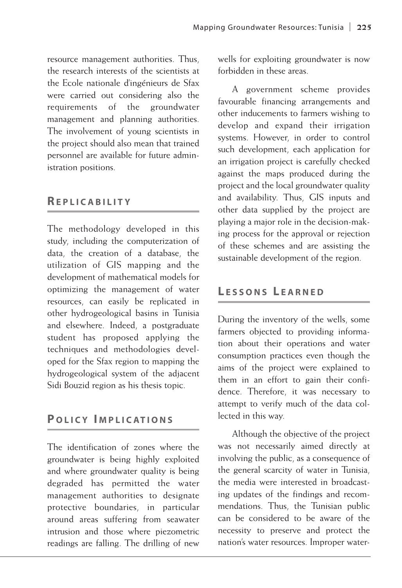resource management authorities. Thus, the research interests of the scientists at the Ecole nationale d'ingénieurs de Sfax were carried out considering also the requirements of the groundwater management and planning authorities. The involvement of young scientists in the project should also mean that trained personnel are available for future administration positions.

## **REPLICABILITY**

The methodology developed in this study, including the computerization of data, the creation of a database, the utilization of GIS mapping and the development of mathematical models for optimizing the management of water resources, can easily be replicated in other hydrogeological basins in Tunisia and elsewhere. Indeed, a postgraduate student has proposed applying the techniques and methodologies developed for the Sfax region to mapping the hydrogeological system of the adjacent Sidi Bouzid region as his thesis topic.

# **P OLICY I MPLICATIONS**

The identification of zones where the groundwater is being highly exploited and where groundwater quality is being degraded has permitted the water management authorities to designate protective boundaries, in particular around areas suffering from seawater intrusion and those where piezometric readings are falling. The drilling of new

wells for exploiting groundwater is now forbidden in these areas.

A government scheme provides favourable financing arrangements and other inducements to farmers wishing to develop and expand their irrigation systems. However, in order to control such development, each application for an irrigation project is carefully checked against the maps produced during the project and the local groundwater quality and availability. Thus, GIS inputs and other data supplied by the project are playing a major role in the decision-making process for the approval or rejection of these schemes and are assisting the sustainable development of the region.

# **L ESSONS L EARNED**

During the inventory of the wells, some farmers objected to providing information about their operations and water consumption practices even though the aims of the project were explained to them in an effort to gain their confidence. Therefore, it was necessary to attempt to verify much of the data collected in this way.

Although the objective of the project was not necessarily aimed directly at involving the public, as a consequence of the general scarcity of water in Tunisia, the media were interested in broadcasting updates of the findings and recommendations. Thus, the Tunisian public can be considered to be aware of the necessity to preserve and protect the nation's water resources. Improper water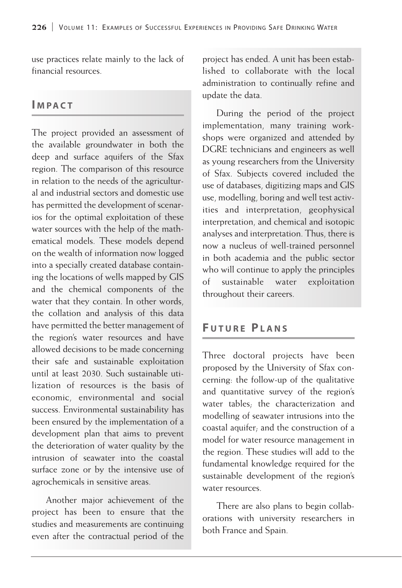use practices relate mainly to the lack of financial resources.

## **I MPACT**

The project provided an assessment of the available groundwater in both the deep and surface aquifers of the Sfax region. The comparison of this resource in relation to the needs of the agricultural and industrial sectors and domestic use has permitted the development of scenarios for the optimal exploitation of these water sources with the help of the mathematical models. These models depend on the wealth of information now logged into a specially created database containing the locations of wells mapped by GIS and the chemical components of the water that they contain. In other words, the collation and analysis of this data have permitted the better management of the region's water resources and have allowed decisions to be made concerning their safe and sustainable exploitation until at least 2030. Such sustainable utilization of resources is the basis of economic, environmental and social success. Environmental sustainability has been ensured by the implementation of a development plan that aims to prevent the deterioration of water quality by the intrusion of seawater into the coastal surface zone or by the intensive use of agrochemicals in sensitive areas.

Another major achievement of the project has been to ensure that the studies and measurements are continuing even after the contractual period of the

project has ended. A unit has been established to collaborate with the local administration to continually refine and update the data.

During the period of the project implementation, many training workshops were organized and attended by DGRE technicians and engineers as well as young researchers from the University of Sfax. Subjects covered included the use of databases, digitizing maps and GIS use, modelling, boring and well test activities and interpretation, geophysical interpretation, and chemical and isotopic analyses and interpretation. Thus, there is now a nucleus of well-trained personnel in both academia and the public sector who will continue to apply the principles of sustainable water exploitation throughout their careers.

# **F UTURE PLANS**

Three doctoral projects have been proposed by the University of Sfax concerning: the follow-up of the qualitative and quantitative survey of the region's water tables; the characterization and modelling of seawater intrusions into the coastal aquifer; and the construction of a model for water resource management in the region. These studies will add to the fundamental knowledge required for the sustainable development of the region's water resources.

There are also plans to begin collaborations with university researchers in both France and Spain.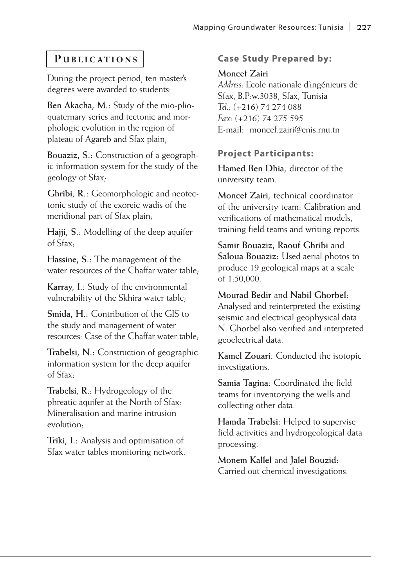## **P UBLICATIONS**

During the project period, ten master's degrees were awarded to students:

**Ben Akacha, M.:** Study of the mio-plioquaternary series and tectonic and morphologic evolution in the region of plateau of Agareb and Sfax plain;

**Bouaziz, S.:** Construction of a geographic information system for the study of the geology of Sfax;

**Ghribi, R.:** Geomorphologic and neotectonic study of the exoreic wadis of the meridional part of Sfax plain;

**Hajji, S.:** Modelling of the deep aquifer of Sfax;

**Hassine, S.:** The management of the water resources of the Chaffar water table;

**Karray, I.:** Study of the environmental vulnerability of the Skhira water table;

**Smida, H.:** Contribution of the GIS to the study and management of water resources: Case of the Chaffar water table;

**Trabelsi, N.:** Construction of geographic information system for the deep aquifer of Sfax;

**Trabelsi, R.**: Hydrogeology of the phreatic aquifer at the North of Sfax: Mineralisation and marine intrusion evolution;

**Triki, I.:** Analysis and optimisation of Sfax water tables monitoring network.

## **Case Study Prepared by:**

#### **Moncef Zairi**

*Address:* Ecole nationale d'ingénieurs de Sfax, B.P:w.3038, Sfax, Tunisia *Tel.:* (+216) 74 274 088 *Fax:* (+216) 74 275 595 E-mail**:** moncef.zairi@enis.rnu.tn

## **Project Participants:**

**Hamed Ben Dhia,** director of the university team.

**Moncef Zairi,** technical coordinator of the university team: Calibration and verifications of mathematical models, training field teams and writing reports.

**Samir Bouaziz, Raouf Ghribi** and **Saloua Bouaziz:** Used aerial photos to produce 19 geological maps at a scale of 1:50,000.

**Mourad Bedir** and **Nabil Ghorbel:** Analysed and reinterpreted the existing seismic and electrical geophysical data. N. Ghorbel also verified and interpreted geoelectrical data.

**Kamel Zouari:** Conducted the isotopic investigations.

**Samia Tagina:** Coordinated the field teams for inventorying the wells and collecting other data.

**Hamda Trabelsi:** Helped to supervise field activities and hydrogeological data processing.

**Monem Kallel** and **Jalel Bouzid:**  Carried out chemical investigations.